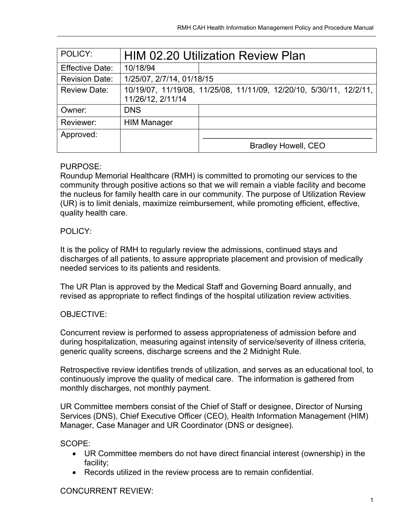| POLICY:                | <b>HIM 02.20 Utilization Review Plan</b> |                                                                     |
|------------------------|------------------------------------------|---------------------------------------------------------------------|
| <b>Effective Date:</b> | 10/18/94                                 |                                                                     |
| <b>Revision Date:</b>  | 1/25/07, 2/7/14, 01/18/15                |                                                                     |
| <b>Review Date:</b>    | 11/26/12, 2/11/14                        | 10/19/07, 11/19/08, 11/25/08, 11/11/09, 12/20/10, 5/30/11, 12/2/11, |
| Owner:                 | <b>DNS</b>                               |                                                                     |
| Reviewer:              | <b>HIM Manager</b>                       |                                                                     |
| Approved:              |                                          |                                                                     |
|                        |                                          | <b>Bradley Howell, CEO</b>                                          |

## PURPOSE:

Roundup Memorial Healthcare (RMH) is committed to promoting our services to the community through positive actions so that we will remain a viable facility and become the nucleus for family health care in our community. The purpose of Utilization Review (UR) is to limit denials, maximize reimbursement, while promoting efficient, effective, quality health care.

## POLICY:

It is the policy of RMH to regularly review the admissions, continued stays and discharges of all patients, to assure appropriate placement and provision of medically needed services to its patients and residents.

The UR Plan is approved by the Medical Staff and Governing Board annually, and revised as appropriate to reflect findings of the hospital utilization review activities.

# OBJECTIVE:

Concurrent review is performed to assess appropriateness of admission before and during hospitalization, measuring against intensity of service/severity of illness criteria, generic quality screens, discharge screens and the 2 Midnight Rule.

Retrospective review identifies trends of utilization, and serves as an educational tool, to continuously improve the quality of medical care. The information is gathered from monthly discharges, not monthly payment.

UR Committee members consist of the Chief of Staff or designee, Director of Nursing Services (DNS), Chief Executive Officer (CEO), Health Information Management (HIM) Manager, Case Manager and UR Coordinator (DNS or designee).

### SCOPE:

- UR Committee members do not have direct financial interest (ownership) in the facility;
- Records utilized in the review process are to remain confidential.

# CONCURRENT REVIEW: